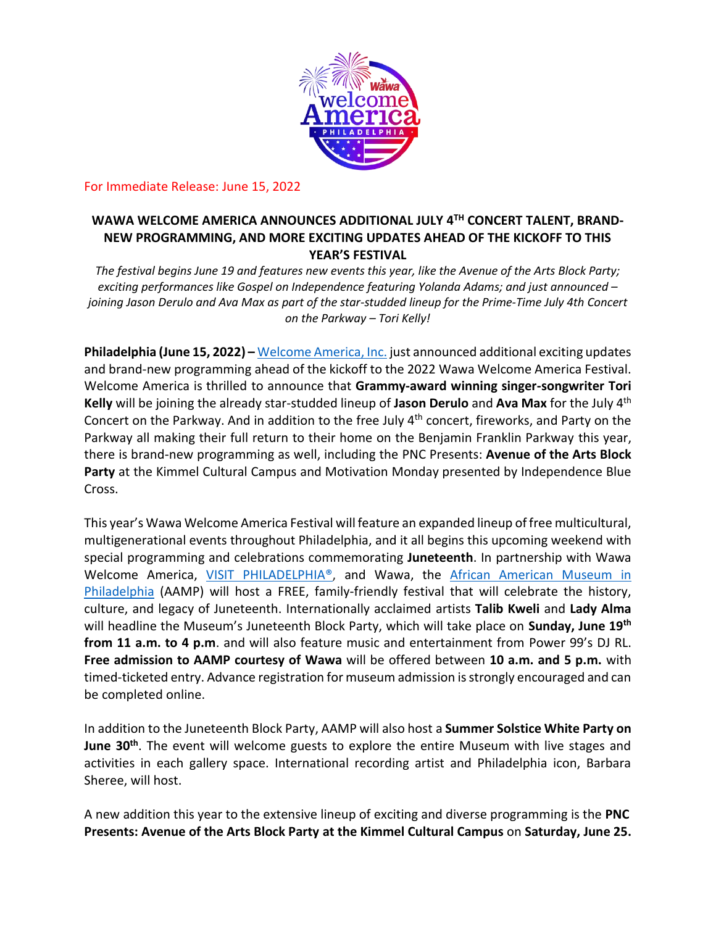

For Immediate Release: June 15, 2022

# **WAWA WELCOME AMERICA ANNOUNCES ADDITIONAL JULY 4TH CONCERT TALENT, BRAND-NEW PROGRAMMING, AND MORE EXCITING UPDATES AHEAD OF THE KICKOFF TO THIS YEAR'S FESTIVAL**

*The festival begins June 19 and features new events this year, like the Avenue of the Arts Block Party; exciting performances like Gospel on Independence featuring Yolanda Adams; and just announced – joining Jason Derulo and Ava Max as part of the star-studded lineup for the Prime-Time July 4th Concert on the Parkway – Tori Kelly!*

**Philadelphia (June 15, 2022) –** [Welcome America, Inc.](https://welcomeamerica.com/) just announced additional exciting updates and brand-new programming ahead of the kickoff to the 2022 Wawa Welcome America Festival. Welcome America is thrilled to announce that **Grammy-award winning singer-songwriter Tori Kelly** will be joining the already star-studded lineup of **Jason Derulo** and **Ava Max** for the July 4th Concert on the Parkway. And in addition to the free July 4th concert, fireworks, and Party on the Parkway all making their full return to their home on the Benjamin Franklin Parkway this year, there is brand-new programming as well, including the PNC Presents: **Avenue of the Arts Block Party** at the Kimmel Cultural Campus and Motivation Monday presented by Independence Blue Cross.

This year's Wawa Welcome America Festival will feature an expanded lineup of free multicultural, multigenerational events throughout Philadelphia, and it all begins this upcoming weekend with special programming and celebrations commemorating **Juneteenth**. In partnership with Wawa Welcome America, [VISIT PHILADELPHIA®](http://www.visitphilly.com/), and Wawa, the [African American Museum in](https://www.aampmuseum.org/)  [Philadelphia](https://www.aampmuseum.org/) (AAMP) will host a FREE, family-friendly festival that will celebrate the history, culture, and legacy of Juneteenth. Internationally acclaimed artists **Talib Kweli** and **Lady Alma** will headline the Museum's Juneteenth Block Party, which will take place on **Sunday, June 19th from 11 a.m. to 4 p.m**. and will also feature music and entertainment from Power 99's DJ RL. **Free admission to AAMP courtesy of Wawa** will be offered between **10 a.m. and 5 p.m.** with timed-ticketed entry. Advance registration for museum admission is strongly encouraged and can be completed online.

In addition to the Juneteenth Block Party, AAMP will also host a **Summer Solstice White Party on June 30th**. The event will welcome guests to explore the entire Museum with live stages and activities in each gallery space. International recording artist and Philadelphia icon, Barbara Sheree, will host.

A new addition this year to the extensive lineup of exciting and diverse programming is the **PNC Presents: Avenue of the Arts Block Party at the Kimmel Cultural Campus** on **Saturday, June 25.**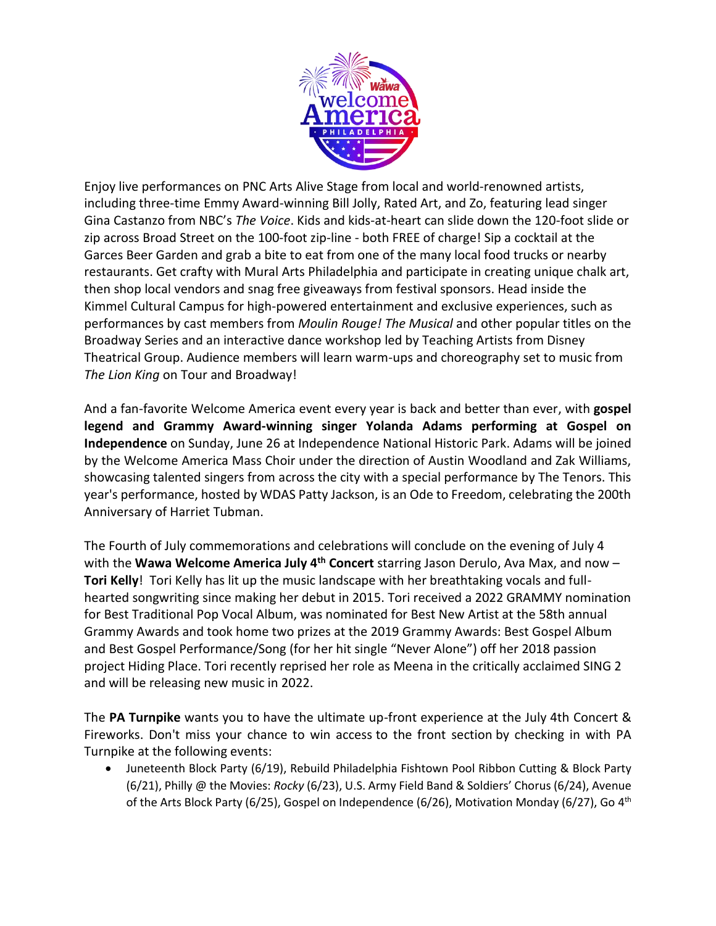

Enjoy live performances on PNC Arts Alive Stage from local and world-renowned artists, including three-time Emmy Award-winning Bill Jolly, Rated Art, and Zo, featuring lead singer Gina Castanzo from NBC's *The Voice*. Kids and kids-at-heart can slide down the 120-foot slide or zip across Broad Street on the 100-foot zip-line - both FREE of charge! Sip a cocktail at the Garces Beer Garden and grab a bite to eat from one of the many local food trucks or nearby restaurants. Get crafty with Mural Arts Philadelphia and participate in creating unique chalk art, then shop local vendors and snag free giveaways from festival sponsors. Head inside the Kimmel Cultural Campus for high-powered entertainment and exclusive experiences, such as performances by cast members from *Moulin Rouge! The Musical* and other popular titles on the Broadway Series and an interactive dance workshop led by Teaching Artists from Disney Theatrical Group. Audience members will learn warm-ups and choreography set to music from *The Lion King* on Tour and Broadway!

And a fan-favorite Welcome America event every year is back and better than ever, with **gospel legend and Grammy Award-winning singer Yolanda Adams performing at Gospel on Independence** on Sunday, June 26 at Independence National Historic Park. Adams will be joined by the Welcome America Mass Choir under the direction of Austin Woodland and Zak Williams, showcasing talented singers from across the city with a special performance by The Tenors. This year's performance, hosted by WDAS Patty Jackson, is an Ode to Freedom, celebrating the 200th Anniversary of Harriet Tubman.

The Fourth of July commemorations and celebrations will conclude on the evening of July 4 with the **Wawa Welcome America July 4th Concert** starring Jason Derulo, Ava Max, and now – **Tori Kelly**! Tori Kelly has lit up the music landscape with her breathtaking vocals and fullhearted songwriting since making her debut in 2015. Tori received a 2022 GRAMMY nomination for Best Traditional Pop Vocal Album, was nominated for Best New Artist at the 58th annual Grammy Awards and took home two prizes at the 2019 Grammy Awards: Best Gospel Album and Best Gospel Performance/Song (for her hit single "Never Alone") off her 2018 passion project Hiding Place. Tori recently reprised her role as Meena in the critically acclaimed SING 2 and will be releasing new music in 2022.

The **PA Turnpike** wants you to have the ultimate up-front experience at the July 4th Concert & Fireworks. Don't miss your chance to win access to the front section by checking in with PA Turnpike at the following events:

• Juneteenth Block Party (6/19), Rebuild Philadelphia Fishtown Pool Ribbon Cutting & Block Party (6/21), Philly @ the Movies: *Rocky* (6/23), U.S. Army Field Band & Soldiers' Chorus (6/24), Avenue of the Arts Block Party (6/25), Gospel on Independence (6/26), Motivation Monday (6/27), Go 4<sup>th</sup>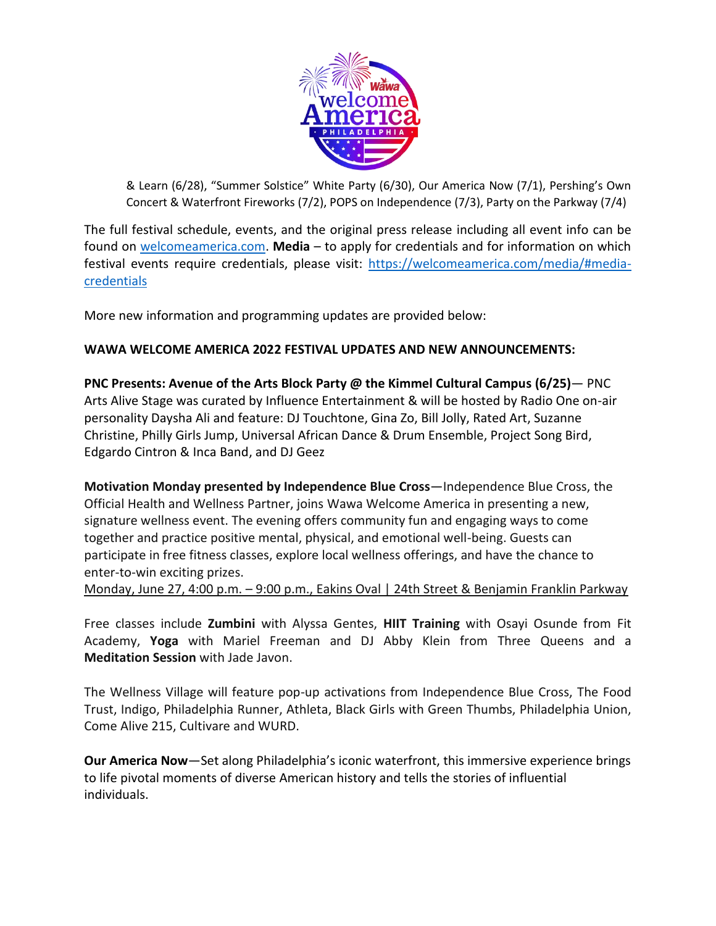

& Learn (6/28), "Summer Solstice" White Party (6/30), Our America Now (7/1), Pershing's Own Concert & Waterfront Fireworks (7/2), POPS on Independence (7/3), Party on the Parkway (7/4)

The full festival schedule, events, and the original press release including all event info can be found on [welcomeamerica.com.](https://welcomeamerica.com/) **Media** – to apply for credentials and for information on which festival events require credentials, please visit: [https://welcomeamerica.com/media/#media](https://welcomeamerica.com/media/#media-credentials)[credentials](https://welcomeamerica.com/media/#media-credentials)

More new information and programming updates are provided below:

# **WAWA WELCOME AMERICA 2022 FESTIVAL UPDATES AND NEW ANNOUNCEMENTS:**

**PNC Presents: Avenue of the Arts Block Party @ the Kimmel Cultural Campus (6/25)**— PNC Arts Alive Stage was curated by Influence Entertainment & will be hosted by Radio One on-air personality Daysha Ali and feature: DJ Touchtone, Gina Zo, Bill Jolly, Rated Art, Suzanne Christine, Philly Girls Jump, Universal African Dance & Drum Ensemble, Project Song Bird, Edgardo Cintron & Inca Band, and DJ Geez

**Motivation Monday presented by Independence Blue Cross**—Independence Blue Cross, the Official Health and Wellness Partner, joins Wawa Welcome America in presenting a new, signature wellness event. The evening offers community fun and engaging ways to come together and practice positive mental, physical, and emotional well-being. Guests can participate in free fitness classes, explore local wellness offerings, and have the chance to enter-to-win exciting prizes.

Monday, June 27, 4:00 p.m. – 9:00 p.m., Eakins Oval | 24th Street & Benjamin Franklin Parkway

Free classes include **Zumbini** with Alyssa Gentes, **HIIT Training** with Osayi Osunde from Fit Academy, **Yoga** with Mariel Freeman and DJ Abby Klein from Three Queens and a **Meditation Session** with Jade Javon.

The Wellness Village will feature pop-up activations from Independence Blue Cross, The Food Trust, Indigo, Philadelphia Runner, Athleta, Black Girls with Green Thumbs, Philadelphia Union, Come Alive 215, Cultivare and WURD.

**Our America Now**—Set along Philadelphia's iconic waterfront, this immersive experience brings to life pivotal moments of diverse American history and tells the stories of influential individuals.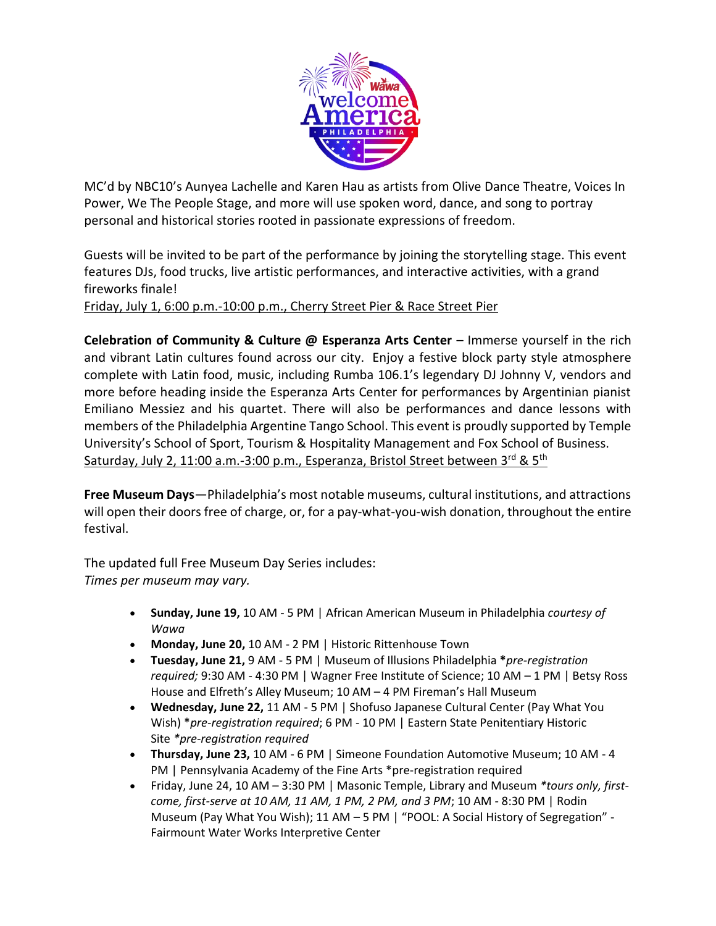

MC'd by NBC10's Aunyea Lachelle and Karen Hau as artists from Olive Dance Theatre, Voices In Power, We The People Stage, and more will use spoken word, dance, and song to portray personal and historical stories rooted in passionate expressions of freedom.

Guests will be invited to be part of the performance by joining the storytelling stage. This event features DJs, food trucks, live artistic performances, and interactive activities, with a grand fireworks finale!

Friday, July 1, 6:00 p.m.-10:00 p.m., Cherry Street Pier & Race Street Pier

**Celebration of Community & Culture @ Esperanza Arts Center** – Immerse yourself in the rich and vibrant Latin cultures found across our city. Enjoy a festive block party style atmosphere complete with Latin food, music, including Rumba 106.1's legendary DJ Johnny V, vendors and more before heading inside the Esperanza Arts Center for performances by Argentinian pianist Emiliano Messiez and his quartet. There will also be performances and dance lessons with members of the Philadelphia Argentine Tango School. This event is proudly supported by Temple University's School of Sport, Tourism & Hospitality Management and Fox School of Business. Saturday, July 2, 11:00 a.m.-3:00 p.m., Esperanza, Bristol Street between 3<sup>rd</sup> & 5<sup>th</sup>

**Free Museum Days**—Philadelphia's most notable museums, cultural institutions, and attractions will open their doors free of charge, or, for a pay-what-you-wish donation, throughout the entire festival.

The updated full Free Museum Day Series includes: *Times per museum may vary.*

- **Sunday, June 19,** 10 AM 5 PM | African American Museum in Philadelphia *courtesy of Wawa*
- **Monday, June 20,** 10 AM 2 PM | Historic Rittenhouse Town
- **Tuesday, June 21,** 9 AM 5 PM | Museum of Illusions Philadelphia **\****pre-registration required;* 9:30 AM - 4:30 PM | Wagner Free Institute of Science; 10 AM – 1 PM | Betsy Ross House and Elfreth's Alley Museum; 10 AM – 4 PM Fireman's Hall Museum
- **Wednesday, June 22,** 11 AM 5 PM | Shofuso Japanese Cultural Center (Pay What You Wish) \**pre-registration required*; 6 PM - 10 PM | Eastern State Penitentiary Historic Site *\*pre-registration required*
- **Thursday, June 23,** 10 AM 6 PM | Simeone Foundation Automotive Museum; 10 AM 4 PM | Pennsylvania Academy of the Fine Arts \*pre-registration required
- Friday, June 24, 10 AM 3:30 PM | Masonic Temple, Library and Museum *\*tours only, firstcome, first-serve at 10 AM, 11 AM, 1 PM, 2 PM, and 3 PM*; 10 AM - 8:30 PM | Rodin Museum (Pay What You Wish); 11 AM – 5 PM | "POOL: A Social History of Segregation" - Fairmount Water Works Interpretive Center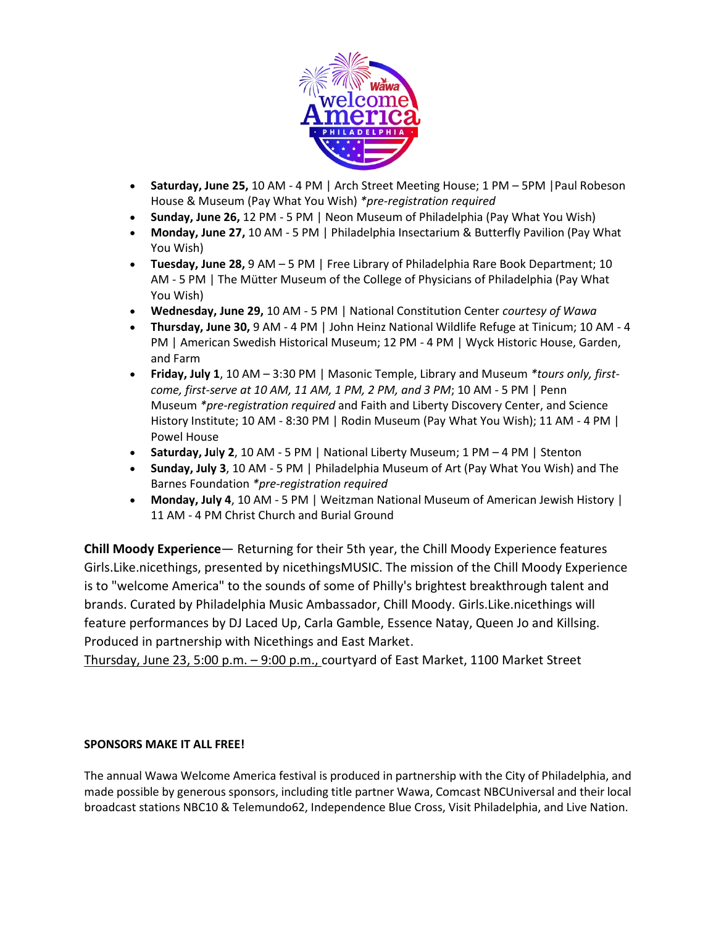

- **Saturday, June 25,** 10 AM 4 PM | Arch Street Meeting House; 1 PM 5PM |Paul Robeson House & Museum (Pay What You Wish) *\*pre-registration required*
- **Sunday, June 26,** 12 PM 5 PM | Neon Museum of Philadelphia (Pay What You Wish)
- **Monday, June 27,** 10 AM 5 PM | Philadelphia Insectarium & Butterfly Pavilion (Pay What You Wish)
- **Tuesday, June 28,** 9 AM 5 PM | Free Library of Philadelphia Rare Book Department; 10 AM - 5 PM | The Mütter Museum of the College of Physicians of Philadelphia (Pay What You Wish)
- **Wednesday, June 29,** 10 AM 5 PM | National Constitution Center *courtesy of Wawa*
- **Thursday, June 30,** 9 AM 4 PM | John Heinz National Wildlife Refuge at Tinicum; 10 AM 4 PM | American Swedish Historical Museum; 12 PM - 4 PM | Wyck Historic House, Garden, and Farm
- **Friday, July 1**, 10 AM 3:30 PM | Masonic Temple, Library and Museum *\*tours only, firstcome, first-serve at 10 AM, 11 AM, 1 PM, 2 PM, and 3 PM*; 10 AM - 5 PM | Penn Museum *\*pre-registration required* and Faith and Liberty Discovery Center, and Science History Institute; 10 AM - 8:30 PM | Rodin Museum (Pay What You Wish); 11 AM - 4 PM | Powel House
- **Saturday, Ju**l**y 2**, 10 AM 5 PM | National Liberty Museum; 1 PM 4 PM | Stenton
- **Sunday, July 3**, 10 AM 5 PM | Philadelphia Museum of Art (Pay What You Wish) and The Barnes Foundation *\*pre-registration required*
- **Monday, July 4**, 10 AM 5 PM | Weitzman National Museum of American Jewish History | 11 AM - 4 PM Christ Church and Burial Ground

**Chill Moody Experience**— Returning for their 5th year, the Chill Moody Experience features Girls.Like.nicethings, presented by nicethingsMUSIC. The mission of the Chill Moody Experience is to "welcome America" to the sounds of some of Philly's brightest breakthrough talent and brands. Curated by Philadelphia Music Ambassador, Chill Moody. Girls.Like.nicethings will feature performances by DJ Laced Up, Carla Gamble, Essence Natay, Queen Jo and Killsing. Produced in partnership with Nicethings and East Market.

Thursday, June 23, 5:00 p.m. – 9:00 p.m., courtyard of East Market, 1100 Market Street

### **SPONSORS MAKE IT ALL FREE!**

The annual Wawa Welcome America festival is produced in partnership with the City of Philadelphia, and made possible by generous sponsors, including title partner Wawa, Comcast NBCUniversal and their local broadcast stations NBC10 & Telemundo62, Independence Blue Cross, Visit Philadelphia, and Live Nation.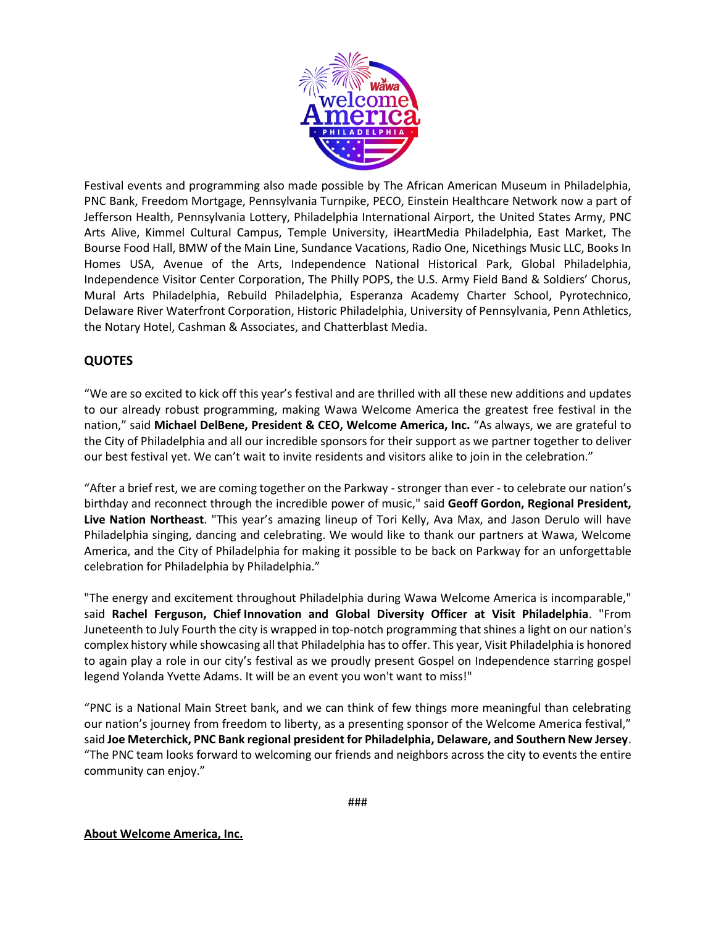

Festival events and programming also made possible by The African American Museum in Philadelphia, PNC Bank, Freedom Mortgage, Pennsylvania Turnpike, PECO, Einstein Healthcare Network now a part of Jefferson Health, Pennsylvania Lottery, Philadelphia International Airport, the United States Army, PNC Arts Alive, Kimmel Cultural Campus, Temple University, iHeartMedia Philadelphia, East Market, The Bourse Food Hall, BMW of the Main Line, Sundance Vacations, Radio One, Nicethings Music LLC, Books In Homes USA, Avenue of the Arts, Independence National Historical Park, Global Philadelphia, Independence Visitor Center Corporation, The Philly POPS, the U.S. Army Field Band & Soldiers' Chorus, Mural Arts Philadelphia, Rebuild Philadelphia, Esperanza Academy Charter School, Pyrotechnico, Delaware River Waterfront Corporation, Historic Philadelphia, University of Pennsylvania, Penn Athletics, the Notary Hotel, Cashman & Associates, and Chatterblast Media.

### **QUOTES**

"We are so excited to kick off this year's festival and are thrilled with all these new additions and updates to our already robust programming, making Wawa Welcome America the greatest free festival in the nation," said **Michael DelBene, President & CEO, Welcome America, Inc.** "As always, we are grateful to the City of Philadelphia and all our incredible sponsors for their support as we partner together to deliver our best festival yet. We can't wait to invite residents and visitors alike to join in the celebration."

"After a brief rest, we are coming together on the Parkway - stronger than ever - to celebrate our nation's birthday and reconnect through the incredible power of music," said **Geoff Gordon, Regional President, Live Nation Northeast**. "This year's amazing lineup of Tori Kelly, Ava Max, and Jason Derulo will have Philadelphia singing, dancing and celebrating. We would like to thank our partners at Wawa, Welcome America, and the City of Philadelphia for making it possible to be back on Parkway for an unforgettable celebration for Philadelphia by Philadelphia."

"The energy and excitement throughout Philadelphia during Wawa Welcome America is incomparable," said **Rachel Ferguson, Chief Innovation and Global Diversity Officer at Visit Philadelphia**. "From Juneteenth to July Fourth the city is wrapped in top-notch programming that shines a light on our nation's complex history while showcasing all that Philadelphia has to offer. This year, Visit Philadelphia is honored to again play a role in our city's festival as we proudly present Gospel on Independence starring gospel legend Yolanda Yvette Adams. It will be an event you won't want to miss!"

"PNC is a National Main Street bank, and we can think of few things more meaningful than celebrating our nation's journey from freedom to liberty, as a presenting sponsor of the Welcome America festival," said **Joe Meterchick, PNC Bank regional president for Philadelphia, Delaware, and Southern New Jersey**. "The PNC team looks forward to welcoming our friends and neighbors across the city to events the entire community can enjoy."

#### **About Welcome America, Inc.**